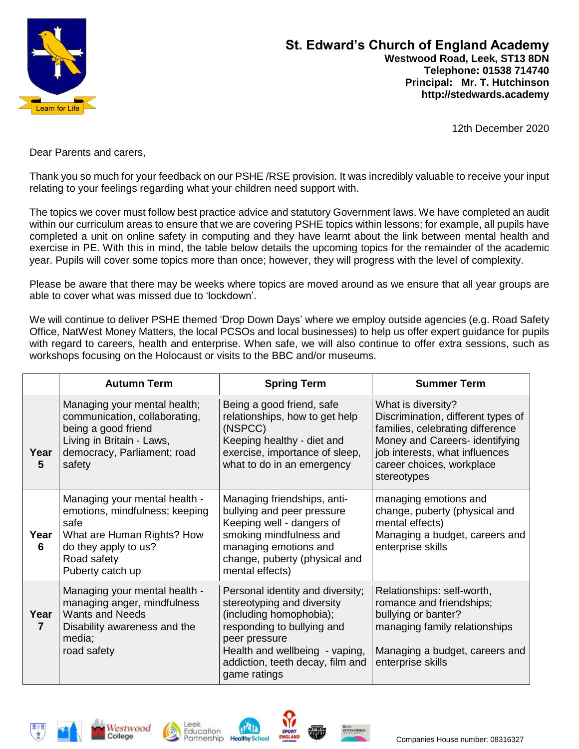

12th December 2020

Dear Parents and carers,

Thank you so much for your feedback on our PSHE /RSE provision. It was incredibly valuable to receive your input relating to your feelings regarding what your children need support with.

The topics we cover must follow best practice advice and statutory Government laws. We have completed an audit within our curriculum areas to ensure that we are covering PSHE topics within lessons; for example, all pupils have completed a unit on online safety in computing and they have learnt about the link between mental health and exercise in PE. With this in mind, the table below details the upcoming topics for the remainder of the academic year. Pupils will cover some topics more than once; however, they will progress with the level of complexity.

Please be aware that there may be weeks where topics are moved around as we ensure that all year groups are able to cover what was missed due to 'lockdown'.

We will continue to deliver PSHE themed 'Drop Down Days' where we employ outside agencies (e.g. Road Safety Office, NatWest Money Matters, the local PCSOs and local businesses) to help us offer expert guidance for pupils with regard to careers, health and enterprise. When safe, we will also continue to offer extra sessions, such as workshops focusing on the Holocaust or visits to the BBC and/or museums.

|                        | <b>Autumn Term</b>                                                                                                                                               | <b>Spring Term</b>                                                                                                                                                                                                             | <b>Summer Term</b>                                                                                                                                                                                           |
|------------------------|------------------------------------------------------------------------------------------------------------------------------------------------------------------|--------------------------------------------------------------------------------------------------------------------------------------------------------------------------------------------------------------------------------|--------------------------------------------------------------------------------------------------------------------------------------------------------------------------------------------------------------|
| Year<br>$5\phantom{1}$ | Managing your mental health;<br>communication, collaborating,<br>being a good friend<br>Living in Britain - Laws,<br>democracy, Parliament; road<br>safety       | Being a good friend, safe<br>relationships, how to get help<br>(NSPCC)<br>Keeping healthy - diet and<br>exercise, importance of sleep,<br>what to do in an emergency                                                           | What is diversity?<br>Discrimination, different types of<br>families, celebrating difference<br>Money and Careers- identifying<br>job interests, what influences<br>career choices, workplace<br>stereotypes |
| Year<br>6              | Managing your mental health -<br>emotions, mindfulness; keeping<br>safe<br>What are Human Rights? How<br>do they apply to us?<br>Road safety<br>Puberty catch up | Managing friendships, anti-<br>bullying and peer pressure<br>Keeping well - dangers of<br>smoking mindfulness and<br>managing emotions and<br>change, puberty (physical and<br>mental effects)                                 | managing emotions and<br>change, puberty (physical and<br>mental effects)<br>Managing a budget, careers and<br>enterprise skills                                                                             |
| Year<br>$\overline{7}$ | Managing your mental health -<br>managing anger, mindfulness<br><b>Wants and Needs</b><br>Disability awareness and the<br>media;<br>road safety                  | Personal identity and diversity;<br>stereotyping and diversity<br>(including homophobia);<br>responding to bullying and<br>peer pressure<br>Health and wellbeing - vaping,<br>addiction, teeth decay, film and<br>game ratings | Relationships: self-worth,<br>romance and friendships;<br>bullying or banter?<br>managing family relationships<br>Managing a budget, careers and<br>enterprise skills                                        |